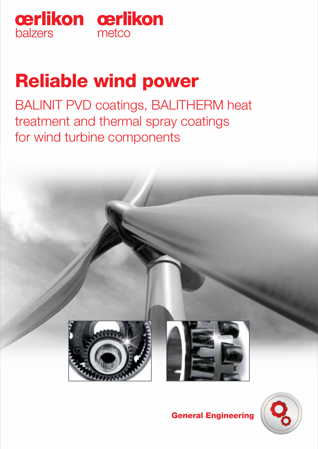

# Reliable wind power

BALINIT PVD coatings, BALITHERM heat treatment and thermal spray coatings for wind turbine components





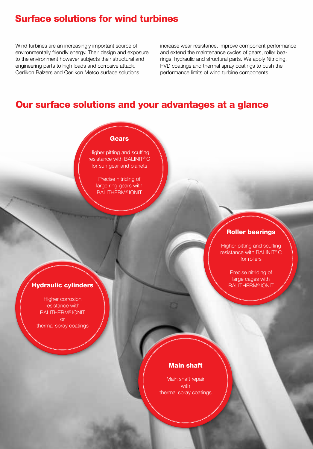### Surface solutions for wind turbines

Wind turbines are an increasingly important source of environmentally friendly energy. Their design and exposure to the environment however subjects their structural and engineering parts to high loads and corrosive attack. Oerlikon Balzers and Oerlikon Metco surface solutions

increase wear resistance, improve component performance and extend the maintenance cycles of gears, roller bearings, hydraulic and structural parts. We apply Nitriding, PVD coatings and thermal spray coatings to push the performance limits of wind turbine components.

### Our surface solutions and your advantages at a glance

#### **Gears**

Higher pitting and scuffing resistance with BALINIT® C for sun gear and planets

> Precise nitriding of large ring gears with BALITHERM® IONIT

#### Roller bearings

Higher pitting and scuffing resistance with BALINIT® C for rollers

> Precise nitriding of large cages with

#### **Hydraulic cylinders New York Contract Contract Contract Contract Contract Contract Contract Contract Contract Contract Contract Contract Contract Contract Contract Contract Contract Contract Contract Contract Contract Con**

Higher corrosion resistance with BALITHERM® IONIT or thermal spray coatings

#### Main shaft

Main shaft repair with thermal spray coatings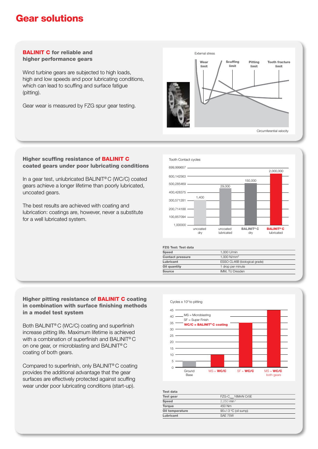### Gear solutions

#### BALINIT C for reliable and higher performance gears

Wind turbine gears are subjected to high loads, high and low speeds and poor lubricating conditions, which can lead to scuffing and surface fatigue (pitting).

Gear wear is measured by FZG spur gear testing.



#### Higher scuffing resistance of BALINIT C coated gears under poor lubricating conditions

In a gear test, unlubricated BALINIT® C (WC/C) coated gears achieve a longer lifetime than poorly lubricated, uncoated gears.

The best results are achieved with coating and lubrication: coatings are, however, never a substitute for a well lubricated system.



| <b>FZG Test: Test data</b> |                               |
|----------------------------|-------------------------------|
| <b>Speed</b>               | 1.000 U/min                   |
| <b>Contact pressure</b>    | 1.000 N/mm <sup>2</sup>       |
| Lubricant                  | ESSO CL46B (biological grade) |
| Oil quantity               | 1 drop per minute             |
| Source                     | <b>IMM. TU Dresden</b>        |
|                            |                               |

#### Higher pitting resistance of BALINIT C coating in combination with surface finishing methods in a model test system

Both BALINIT® C (WC/C) coating and superfinish increase pitting life. Maximum lifetime is achieved with a combination of superfinish and BALINIT® C on one gear, or microblasting and BALINIT® C coating of both gears.

Compared to superfinish, only BALINIT® C coating provides the additional advantage that the gear surfaces are effectively protected against scuffing wear under poor lubricating conditions (start-up).



| Test gear       | FZG-C <sub>mod</sub> 16MnN Cr5E |  |
|-----------------|---------------------------------|--|
| Speed           | $2.250$ min <sup>-1</sup>       |  |
| <b>Torque</b>   | 450 Nm                          |  |
| Oil temperature | $90+/-3$ °C (oil sump)          |  |
| Lubricant       | SAF 75W                         |  |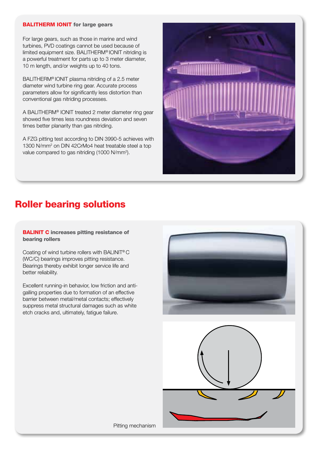#### **BALITHERM IONIT** for large gears

For large gears, such as those in marine and wind turbines, PVD coatings cannot be used because of limited equipment size. BALITHERM® IONIT nitriding is a powerful treatment for parts up to 3 meter diameter, 10 m length, and/or weights up to 40 tons.

BALITHERM® IONIT plasma nitriding of a 2.5 meter diameter wind turbine ring gear. Accurate process parameters allow for significantly less distortion than conventional gas nitriding processes.

A BALITHERM® IONIT treated 2 meter diameter ring gear showed five times less roundness deviation and seven times better planarity than gas nitriding.

A FZG pitting test according to DIN 3990-5 achieves with 1300 N/mm2 on DIN 42CrMo4 heat treatable steel a top value compared to gas nitriding (1000 N/mm<sup>2</sup>).



# Roller bearing solutions

**BALINIT C** increases pitting resistance of bearing rollers

Coating of wind turbine rollers with BALINIT® C (WC/C) bearings improves pitting resistance. Bearings thereby exhibit longer service life and better reliability.

Excellent running-in behavior, low friction and antigalling properties due to formation of an effective barrier between metal/metal contacts; effectively suppress metal structural damages such as white etch cracks and, ultimately, fatigue failure.





Pitting mechanism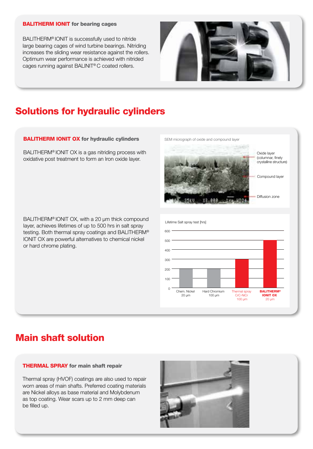#### BALITHERM IONIT for bearing cages

BALITHERM® IONIT is successfully used to nitride large bearing cages of wind turbine bearings. Nitriding increases the sliding wear resistance against the rollers. Optimum wear performance is achieved with nitrided cages running against BALINIT® C coated rollers.



# Solutions for hydraulic cylinders

#### **BALITHERM IONIT OX for hydraulic cylinders**

BALITHERM® IONIT OX is a gas nitriding process with oxidative post treatment to form an Iron oxide layer.

BALITHERM® IONIT OX, with a 20 µm thick compound layer, achieves lifetimes of up to 500 hrs in salt spray testing. Both thermal spray coatings and BALITHERM® IONIT OX are powerful alternatives to chemical nickel or hard chrome plating.



### Main shaft solution

#### THERMAL SPRAY for main shaft repair

Thermal spray (HVOF) coatings are also used to repair worn areas of main shafts. Preferred coating materials are Nickel alloys as base material and Molybdenum as top coating. Wear scars up to 2 mm deep can be filled up.